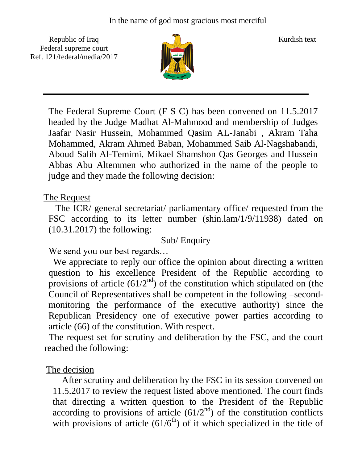Republic of Iraq  $\frac{1}{\|x\|}$  Kurdish text Federal supreme court Ref. 121/federal/media/2017



The Federal Supreme Court (F S C) has been convened on 11.5.2017 headed by the Judge Madhat Al-Mahmood and membership of Judges Jaafar Nasir Hussein, Mohammed Qasim AL-Janabi , Akram Taha Mohammed, Akram Ahmed Baban, Mohammed Saib Al-Nagshabandi, Aboud Salih Al-Temimi, Mikael Shamshon Qas Georges and Hussein Abbas Abu Altemmen who authorized in the name of the people to judge and they made the following decision:

The Request

 The ICR/ general secretariat/ parliamentary office/ requested from the FSC according to its letter number (shin.lam/1/9/11938) dated on (10.31.2017) the following:

## Sub/ Enquiry

We send you our best regards...

 We appreciate to reply our office the opinion about directing a written question to his excellence President of the Republic according to provisions of article  $(61/2<sup>nd</sup>)$  of the constitution which stipulated on (the Council of Representatives shall be competent in the following –secondmonitoring the performance of the executive authority) since the Republican Presidency one of executive power parties according to article (66) of the constitution. With respect.

 The request set for scrutiny and deliberation by the FSC, and the court reached the following:

## The decision

 After scrutiny and deliberation by the FSC in its session convened on 11.5.2017 to review the request listed above mentioned. The court finds that directing a written question to the President of the Republic according to provisions of article  $(61/2<sup>nd</sup>)$  of the constitution conflicts with provisions of article  $(61/6<sup>th</sup>)$  of it which specialized in the title of